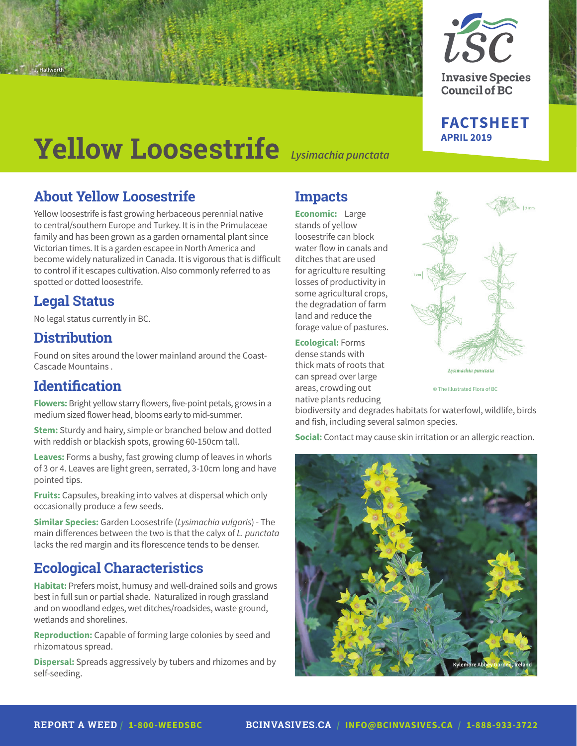

**Invasive Species Council of BC** 

# **FACTSHEET**

# **APRIL 2019 Yellow Loosestrife** *Lysimachia punctata*

# **About Yellow Loosestrife**

Yellow loosestrife is fast growing herbaceous perennial native to central/southern Europe and Turkey. It is in the Primulaceae family and has been grown as a garden ornamental plant since Victorian times. It is a garden escapee in North America and become widely naturalized in Canada. It is vigorous that is difficult to control if it escapes cultivation. Also commonly referred to as spotted or dotted loosestrife.

## **Legal Status**

**J. Hallworth**

No legal status currently in BC.

## **Distribution**

Found on sites around the lower mainland around the Coast-Cascade Mountains .

## **Identification**

**Flowers:** Bright yellow starry flowers, five-point petals, grows in a medium sized flower head, blooms early to mid-summer.

**Stem:** Sturdy and hairy, simple or branched below and dotted with reddish or blackish spots, growing 60-150cm tall.

**Leaves:** Forms a bushy, fast growing clump of leaves in whorls of 3 or 4. Leaves are light green, serrated, 3-10cm long and have pointed tips.

**Fruits:** Capsules, breaking into valves at dispersal which only occasionally produce a few seeds.

**Similar Species:** Garden Loosestrife (*Lysimachia vulgaris*) - The main differences between the two is that the calyx of *L. punctata*  lacks the red margin and its florescence tends to be denser.

# **Ecological Characteristics**

**Habitat:** Prefers moist, humusy and well-drained soils and grows best in full sun or partial shade. Naturalized in rough grassland and on woodland edges, wet ditches/roadsides, waste ground, wetlands and shorelines.

**Reproduction:** Capable of forming large colonies by seed and rhizomatous spread.

**Dispersal:** Spreads aggressively by tubers and rhizomes and by self-seeding.

# **Impacts**

**Economic:** Large stands of yellow loosestrife can block water flow in canals and ditches that are used for agriculture resulting losses of productivity in some agricultural crops, the degradation of farm land and reduce the forage value of pastures.

#### **Ecological:** Forms

dense stands with thick mats of roots that can spread over large areas, crowding out native plants reducing



© The Illustrated Flora of BC

biodiversity and degrades habitats for waterfowl, wildlife, birds and fish, including several salmon species.

**Social:** Contact may cause skin irritation or an allergic reaction.